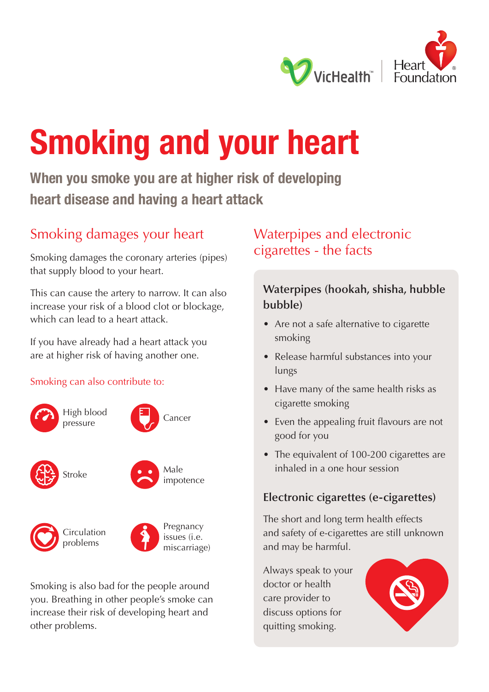

# **Smoking and your heart**

**When you smoke you are at higher risk of developing heart disease and having a heart attack** 

## Smoking damages your heart

Smoking damages the coronary arteries (pipes) that supply blood to your heart.

This can cause the artery to narrow. It can also increase your risk of a blood clot or blockage, which can lead to a heart attack.

If you have already had a heart attack you are at higher risk of having another one.

#### Smoking can also contribute to:





Circulation problems



Pregnancy issues (i.e. miscarriage)

Smoking is also bad for the people around you. Breathing in other people's smoke can increase their risk of developing heart and other problems.

## Waterpipes and electronic cigarettes - the facts

## **Waterpipes (hookah, shisha, hubble bubble)**

- Are not a safe alternative to cigarette smoking
- Release harmful substances into your lungs
- Have many of the same health risks as cigarette smoking
- Even the appealing fruit flavours are not good for you
- The equivalent of 100-200 cigarettes are inhaled in a one hour session

### **Electronic cigarettes (e-cigarettes)**

The short and long term health effects and safety of e-cigarettes are still unknown and may be harmful.

Always speak to your doctor or health care provider to discuss options for quitting smoking.